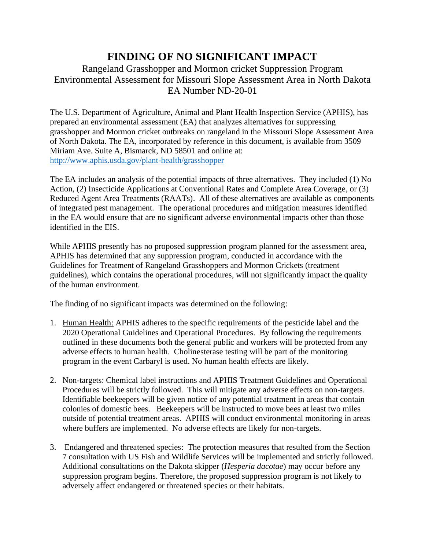## **FINDING OF NO SIGNIFICANT IMPACT**

## Rangeland Grasshopper and Mormon cricket Suppression Program Environmental Assessment for Missouri Slope Assessment Area in North Dakota EA Number ND-20-01

The U.S. Department of Agriculture, Animal and Plant Health Inspection Service (APHIS), has prepared an environmental assessment (EA) that analyzes alternatives for suppressing grasshopper and Mormon cricket outbreaks on rangeland in the Missouri Slope Assessment Area of North Dakota. The EA, incorporated by reference in this document, is available from 3509 Miriam Ave. Suite A, Bismarck, ND 58501 and online at: <http://www.aphis.usda.gov/plant-health/grasshopper>

The EA includes an analysis of the potential impacts of three alternatives. They included (1) No Action, (2) Insecticide Applications at Conventional Rates and Complete Area Coverage, or (3) Reduced Agent Area Treatments (RAATs). All of these alternatives are available as components of integrated pest management. The operational procedures and mitigation measures identified in the EA would ensure that are no significant adverse environmental impacts other than those identified in the EIS.

While APHIS presently has no proposed suppression program planned for the assessment area, APHIS has determined that any suppression program, conducted in accordance with the Guidelines for Treatment of Rangeland Grasshoppers and Mormon Crickets (treatment guidelines), which contains the operational procedures, will not significantly impact the quality of the human environment.

The finding of no significant impacts was determined on the following:

- 1. Human Health: APHIS adheres to the specific requirements of the pesticide label and the 2020 Operational Guidelines and Operational Procedures. By following the requirements outlined in these documents both the general public and workers will be protected from any adverse effects to human health. Cholinesterase testing will be part of the monitoring program in the event Carbaryl is used. No human health effects are likely.
- 2. Non-targets: Chemical label instructions and APHIS Treatment Guidelines and Operational Procedures will be strictly followed. This will mitigate any adverse effects on non-targets. Identifiable beekeepers will be given notice of any potential treatment in areas that contain colonies of domestic bees. Beekeepers will be instructed to move bees at least two miles outside of potential treatment areas. APHIS will conduct environmental monitoring in areas where buffers are implemented. No adverse effects are likely for non-targets.
- 3. Endangered and threatened species: The protection measures that resulted from the Section 7 consultation with US Fish and Wildlife Services will be implemented and strictly followed. Additional consultations on the Dakota skipper (*Hesperia dacotae*) may occur before any suppression program begins. Therefore, the proposed suppression program is not likely to adversely affect endangered or threatened species or their habitats.